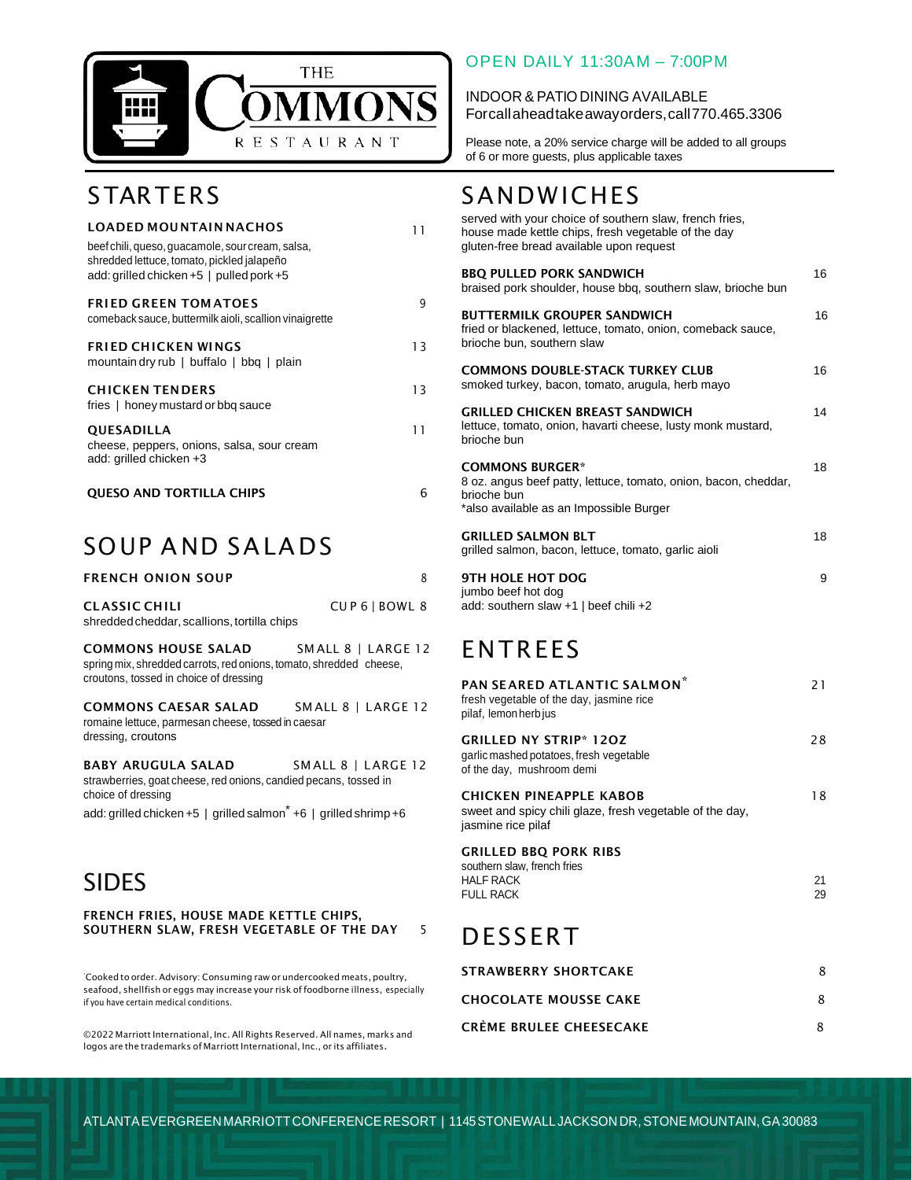

# **STARTERS**

| <b>LOADED MOUNTAIN NACHOS</b>                                                                                                              | 11 |
|--------------------------------------------------------------------------------------------------------------------------------------------|----|
| beef chili, queso, guacamole, sour cream, salsa,<br>shredded lettuce, tomato, pickled jalapeño<br>add: grilled chicken +5   pulled pork +5 |    |
| <b>FRIED GREEN TOMATOES</b><br>comeback sauce, buttermilk aioli, scallion vinaigrette                                                      | g  |
| <b>FRIED CHICKEN WINGS</b><br>mountain dry rub   buffalo   bbq   plain                                                                     | 13 |
| <b>CHICKEN TENDERS</b><br>fries   honey mustard or bbg sauce                                                                               | 13 |
| QUESADILLA<br>cheese, peppers, onions, salsa, sour cream<br>add: grilled chicken +3                                                        | 11 |
| <b>OUESO AND TORTILLA CHIPS</b>                                                                                                            | 6  |

## SOUP A ND SALA DS

| <b>FRENCH ONION SOUP</b>                    |               |
|---------------------------------------------|---------------|
| <b>CLASSIC CHILI</b>                        | CUP6   BOWL 8 |
| shredded cheddar, scallions, tortilla chips |               |

**COMMONS HOUSE SALAD** SM ALL 8 | LARGE 12 spring mix, shredded carrots, red onions, tomato, shredded cheese, croutons, tossed in choice of dressing

**COMMONS CAESAR SALAD** SM ALL 8 | LARGE 12 romaine lettuce, parmesan cheese, tossed in caesar dressing, croutons

**BABY ARUGULA SALAD** SM ALL 8 | LARGE 12 strawberries, goat cheese, red onions, candied pecans, tossed in choice of dressing

add: grilled chicken +5 | grilled salmon \* +6 | grilled shrimp+6

### SIDES

**FRENCH FRIES, HOUSE MADE KETTLE CHIPS, SOUTHERN SLAW, FRESH VEGETABLE OF THE DAY** 5

\*Cooked to order. Advisory: Consuming raw or undercooked meats, poultry, seafood, shellfish or eggs may increase your risk of foodborne illness, especially if you have certain medical conditions.

©2022 Marriott International, Inc. All Rights Reserved. All names, marks and logos are the trademarks of Marriott International, Inc., or its affiliates.

#### OPEN DAILY 11:30AM – 7:00PM

INDOOR & PATIO DINING AVAILABLE Forcallaheadtakeawayorders,call770.465.3306

Please note, a 20% service charge will be added to all groups of 6 or more guests, plus applicable taxes

### **SANDWICHES**

| served with your choice of southern slaw, french fries,<br>house made kettle chips, fresh vegetable of the day<br>gluten-free bread available upon request |    |
|------------------------------------------------------------------------------------------------------------------------------------------------------------|----|
| <b>BBQ PULLED PORK SANDWICH</b><br>braised pork shoulder, house bbg, southern slaw, brioche bun                                                            | 16 |
| <b>BUTTERMILK GROUPER SANDWICH</b><br>fried or blackened, lettuce, tomato, onion, comeback sauce,<br>brioche bun, southern slaw                            | 16 |
| <b>COMMONS DOUBLE-STACK TURKEY CLUB</b><br>smoked turkey, bacon, tomato, arugula, herb mayo                                                                | 16 |
| <b>GRILLED CHICKEN BREAST SANDWICH</b><br>lettuce, tomato, onion, havarti cheese, lusty monk mustard,<br>brioche bun                                       | 14 |
| <b>COMMONS BURGER*</b><br>8 oz. angus beef patty, lettuce, tomato, onion, bacon, cheddar,<br>brioche bun<br>*also available as an Impossible Burger        | 18 |
| <b>GRILLED SALMON BLT</b><br>grilled salmon, bacon, lettuce, tomato, garlic aioli                                                                          | 18 |
| <b>9TH HOLE HOT DOG</b><br>jumbo beef hot dog<br>add: southern slaw +1   beef chili +2                                                                     | 9  |

## ENTREES

| PAN SEARED ATLANTIC SALMON <sup>*</sup><br>fresh vegetable of the day, jasmine rice<br>pilaf, lemon herb jus | 21 |
|--------------------------------------------------------------------------------------------------------------|----|
| <b>GRILLED NY STRIP* 120Z</b><br>garlic mashed potatoes, fresh vegetable<br>of the day, mushroom demi        | 28 |
| CHICKEN PINEAPPLE KABOB<br>sweet and spicy chili glaze, fresh vegetable of the day,<br>jasmine rice pilaf    | 18 |
| <b>GRILLED BBQ PORK RIBS</b>                                                                                 |    |
| southern slaw, french fries<br>HALF RACK                                                                     | 21 |
| <b>FULL RACK</b>                                                                                             | 29 |
| DESSERT                                                                                                      |    |
| <b>STRAWBERRY SHORTCAKE</b>                                                                                  | 8  |

| ,,,,,,,,,,,,,,,,,,,,,,,,,,,,,  |  |
|--------------------------------|--|
| <b>CHOCOLATE MOUSSE CAKE</b>   |  |
| <b>CRÈME BRULEE CHEESECAKE</b> |  |